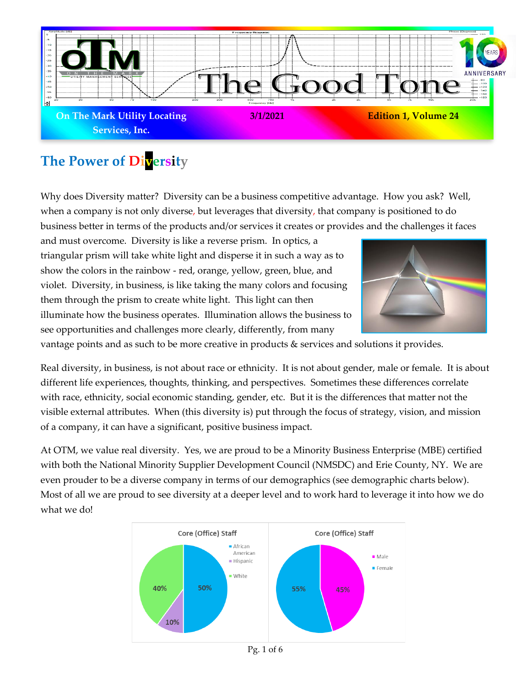

# **The Power of Diversity**

Why does Diversity matter? Diversity can be a business competitive advantage. How you ask? Well, when a company is not only diverse, but leverages that diversity, that company is positioned to do business better in terms of the products and/or services it creates or provides and the challenges it faces

and must overcome. Diversity is like a reverse prism. In optics, a triangular prism will take white light and disperse it in such a way as to show the colors in the rainbow - red, orange, yellow, green, blue, and violet. Diversity, in business, is like taking the many colors and focusing them through the prism to create white light. This light can then illuminate how the business operates. Illumination allows the business to see opportunities and challenges more clearly, differently, from many



vantage points and as such to be more creative in products & services and solutions it provides.

Real diversity, in business, is not about race or ethnicity. It is not about gender, male or female. It is about different life experiences, thoughts, thinking, and perspectives. Sometimes these differences correlate with race, ethnicity, social economic standing, gender, etc. But it is the differences that matter not the visible external attributes. When (this diversity is) put through the focus of strategy, vision, and mission of a company, it can have a significant, positive business impact.

At OTM, we value real diversity. Yes, we are proud to be a Minority Business Enterprise (MBE) certified with both the National Minority Supplier Development Council (NMSDC) and Erie County, NY. We are even prouder to be a diverse company in terms of our demographics (see demographic charts below). Most of all we are proud to see diversity at a deeper level and to work hard to leverage it into how we do what we do!



Pg. 1 of 6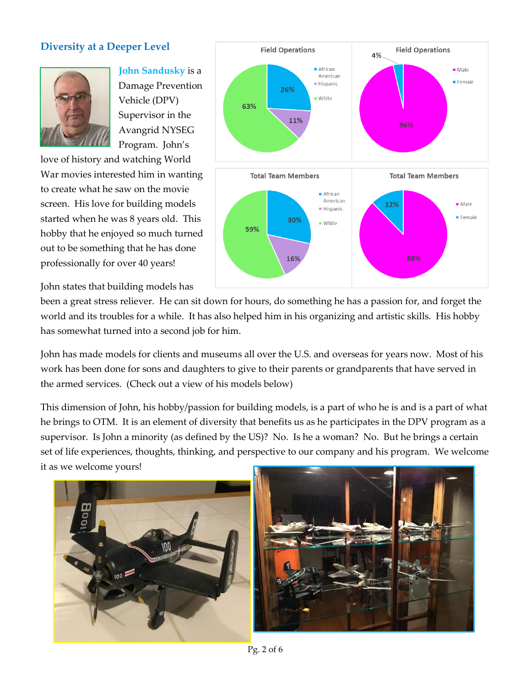### **Diversity at a Deeper Level**



**John Sandusky** is a Damage Prevention Vehicle (DPV) Supervisor in the Avangrid NYSEG Program. John's

love of history and watching World War movies interested him in wanting to create what he saw on the movie screen. His love for building models started when he was 8 years old. This hobby that he enjoyed so much turned out to be something that he has done professionally for over 40 years!

John states that building models has



been a great stress reliever. He can sit down for hours, do something he has a passion for, and forget the world and its troubles for a while. It has also helped him in his organizing and artistic skills. His hobby has somewhat turned into a second job for him.

John has made models for clients and museums all over the U.S. and overseas for years now. Most of his work has been done for sons and daughters to give to their parents or grandparents that have served in the armed services. (Check out a view of his models below)

This dimension of John, his hobby/passion for building models, is a part of who he is and is a part of what he brings to OTM. It is an element of diversity that benefits us as he participates in the DPV program as a supervisor. Is John a minority (as defined by the US)? No. Is he a woman? No. But he brings a certain set of life experiences, thoughts, thinking, and perspective to our company and his program. We welcome it as we welcome yours!



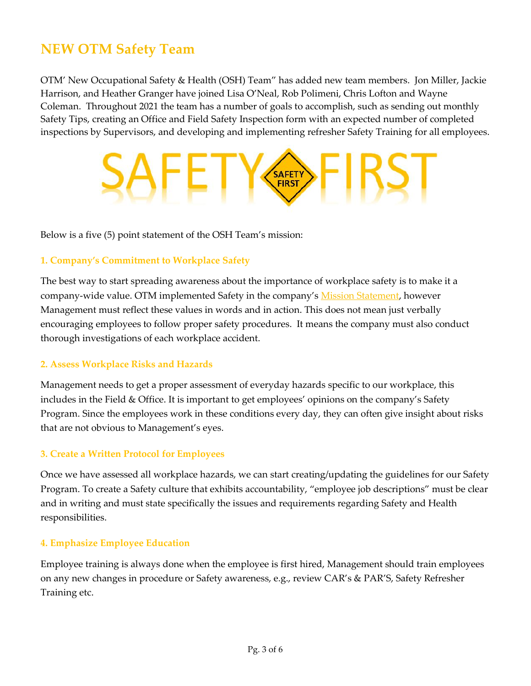# **NEW OTM Safety Team**

OTM' New Occupational Safety & Health (OSH) Team" has added new team members. Jon Miller, Jackie Harrison, and Heather Granger have joined Lisa O'Neal, Rob Polimeni, Chris Lofton and Wayne Coleman. Throughout 2021 the team has a number of goals to accomplish, such as sending out monthly Safety Tips, creating an Office and Field Safety Inspection form with an expected number of completed inspections by Supervisors, and developing and implementing refresher Safety Training for all employees.

# **SAFETY FIRST**

Below is a five (5) point statement of the OSH Team's mission:

### **1. Company's Commitment to Workplace Safety**

The best way to start spreading awareness about the importance of workplace safety is to make it a company-wide value. OTM implemented Safety in the company's [Mission Statement,](https://www.otmlocating.com/mission-vision) however Management must reflect these values in words and in action. This does not mean just verbally encouraging employees to follow proper safety procedures. It means the company must also conduct thorough investigations of each workplace accident.

### **2. Assess Workplace Risks and Hazards**

Management needs to get a proper assessment of everyday hazards specific to our workplace, this includes in the Field & Office. It is important to get employees' opinions on the company's Safety Program. Since the employees work in these conditions every day, they can often give insight about risks that are not obvious to Management's eyes.

### **3. Create a Written Protocol for Employees**

Once we have assessed all workplace hazards, we can start creating/updating the guidelines for our Safety Program. To create a Safety culture that exhibits accountability, "employee job descriptions" must be clear and in writing and must state specifically the issues and requirements regarding Safety and Health responsibilities.

### **4. Emphasize Employee Education**

Employee training is always done when the employee is first hired, Management should train employees on any new changes in procedure or Safety awareness, e.g., review CAR's & PAR'S, Safety Refresher Training etc.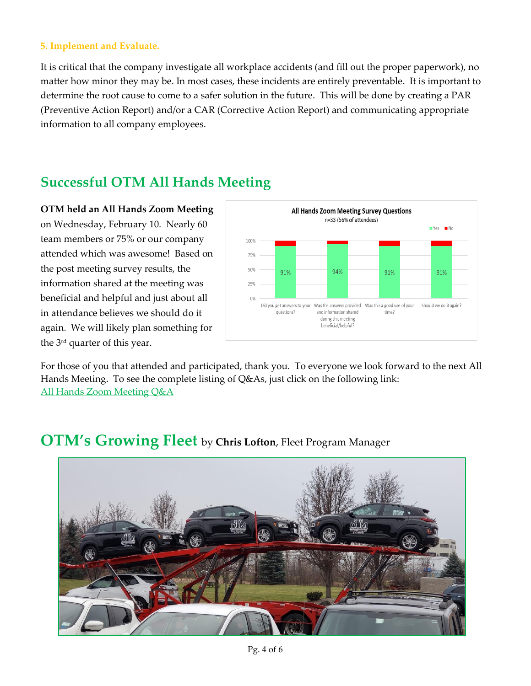### **5. Implement and Evaluate.**

It is critical that the company investigate all workplace accidents (and fill out the proper paperwork), no matter how minor they may be. In most cases, these incidents are entirely preventable. It is important to determine the root cause to come to a safer solution in the future. This will be done by creating a PAR (Preventive Action Report) and/or a CAR (Corrective Action Report) and communicating appropriate information to all company employees.

# **Successful OTM All Hands Meeting**

**OTM held an All Hands Zoom Meeting** on Wednesday, February 10. Nearly 60 team members or 75% or our company attended which was awesome! Based on the post meeting survey results, the information shared at the meeting was beneficial and helpful and just about all in attendance believes we should do it again. We will likely plan something for the 3rd quarter of this year.



For those of you that attended and participated, thank you. To everyone we look forward to the next All Hands Meeting. To see the complete listing of Q&As, just click on the following link: [All Hands Zoom Meeting Q&A](file:///G:/My%20Drive/OWNERS/Company%20Communications/Questions%20&%20Answers%20for%20OTM%20All%20Hands%20Zoom%20Meeting%20-%20021021.pdf)

# ிM

## **OTM's Growing Fleet** by **Chris Lofton**, Fleet Program Manager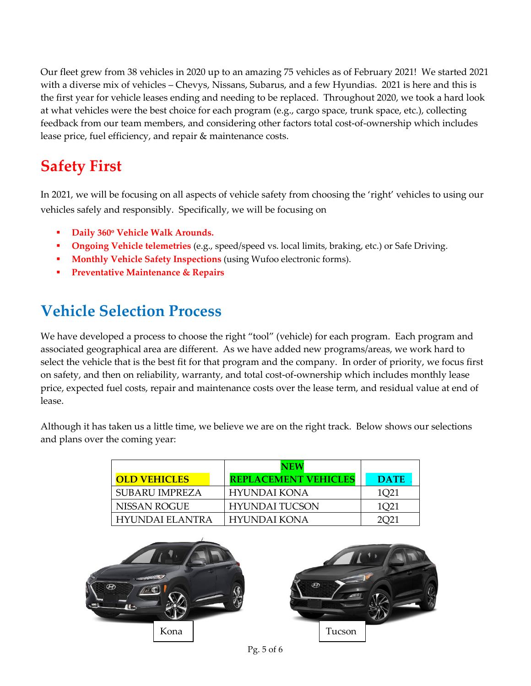Our fleet grew from 38 vehicles in 2020 up to an amazing 75 vehicles as of February 2021! We started 2021 with a diverse mix of vehicles – Chevys, Nissans, Subarus, and a few Hyundias. 2021 is here and this is the first year for vehicle leases ending and needing to be replaced. Throughout 2020, we took a hard look at what vehicles were the best choice for each program (e.g., cargo space, trunk space, etc.), collecting feedback from our team members, and considering other factors total cost-of-ownership which includes lease price, fuel efficiency, and repair & maintenance costs.

# **Safety First**

In 2021, we will be focusing on all aspects of vehicle safety from choosing the 'right' vehicles to using our vehicles safely and responsibly. Specifically, we will be focusing on

- **Daily 360<sup>o</sup> Vehicle Walk Arounds.**
- **Ongoing Vehicle telemetries** (e.g., speed/speed vs. local limits, braking, etc.) or Safe Driving.
- **Monthly Vehicle Safety Inspections** (using Wufoo electronic forms).
- **Preventative Maintenance & Repairs**

# **Vehicle Selection Process**

We have developed a process to choose the right "tool" (vehicle) for each program. Each program and associated geographical area are different. As we have added new programs/areas, we work hard to select the vehicle that is the best fit for that program and the company. In order of priority, we focus first on safety, and then on reliability, warranty, and total cost-of-ownership which includes monthly lease price, expected fuel costs, repair and maintenance costs over the lease term, and residual value at end of lease.

Although it has taken us a little time, we believe we are on the right track. Below shows our selections and plans over the coming year:

|                       | NEW                         |             |
|-----------------------|-----------------------------|-------------|
| <b>OLD VEHICLES</b>   | <b>REPLACEMENT VEHICLES</b> | <b>DATE</b> |
| <b>SUBARU IMPREZA</b> | HYUNDAI KONA                | 1021        |
| NISSAN ROGUE          | <b>HYUNDAI TUCSON</b>       | 1Q21        |
| HYUNDAI ELANTRA       | HYUNDAI KONA                | 2021        |